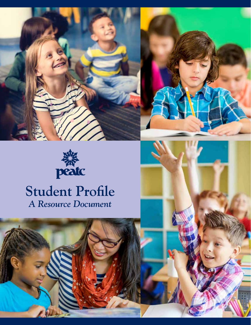





# **Student Profle**  *A Resource Document*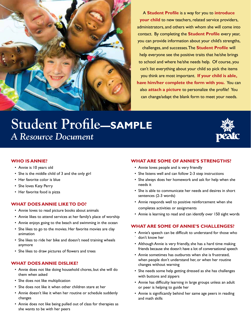

A **Student Profle** is a way for you to **introduce your child** to new teachers, related service providers, administrators, and others with whom she will come into contact. By completing the **Student Profle** every year, you can provide information about your child's strengths,

 you think are most important. **If your child is able,**  can change/adapt the blank form to meet your needs. challenges, and successes.The **Student Profle** will help everyone see the positive traits that he/she brings to school and where he/she needs help. Of course, you can't list everything about your child so pick the items **have him/her complete the form with you.** You can also **attach a picture** to personalize the profle! You

# **Student Profle—SAMPLE**  *A Resource Document*



### **WHO IS ANNIE?**

- Annie is 10 years old
- She is the middle child of 3 and the only girl
- Her favorite color is blue
- She loves Katy Perry
- Her favorite food is pizza

#### **WHAT DOES ANNIE LIKE TO DO?**

- Annie loves to read picture books about animals
- Annie likes to attend services at her family's place of worship
- Annie enjoys going to the beach and swimming in the ocean
- She likes to go to the movies. Her favorite movies are clay animation
- She likes to ride her bike and doesn't need training wheels anymore
- She likes to draw pictures of flowers and trees

#### **WHAT DOES ANNIE DISLIKE?**

- Annie does not like doing household chores, but she will do them when asked
- She does not like multiplication
- She does not like it when other children stare at her
- Annie doesn't like it when her routine or schedule suddenly changes
- Annie does not like being pulled out of class for therapies as she wants to be with her peers

# **WHAT ARE SOME OF ANNIE'S STRENGTHS?**

- Annie loves people and is very friendly
- She listens well and can follow 2-3 step instructions
- She always does her homework and ask for help when she needs it
- She is able to communicate her needs and desires in short sentences (2-3 words)
- Annie responds well to positive reinforcement when she completes activities or assignments
- Annie is learning to read and can identify over 150 sight words

## **WHAT ARE SOME OF ANNIE'S CHALLENGES?**

- Annie's speech can be diffcult to understand for those who don't know her
- Although Annie is very friendly, she has a hard time making friends because she doesn't have a lot of conversational speech
- Annie sometimes has outbursts when she is frustrated, when people don't understand her, or when her routine changes without warning
- She needs some help getting dressed as she has challenges with buttons and zippers
- Annie has difficulty learning in large groups unless an adult or peer is helping to guide her
- Annie is signifcantly behind her same age peers in reading and math skills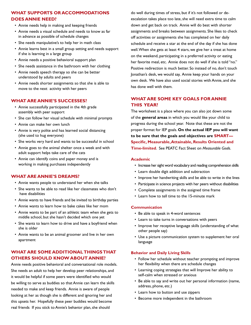## **WHAT SUPPORTS OR ACCOMMODATIONS DOES ANNIE NEED?**

- Annie needs help in making and keeping friends
- Annie needs a visual schedule and needs to know as far in advance as possible of schedule changes
- She needs manipulative's to help her in math class
- Annie learns best in a small group setting and needs support if she is learning in a large group
- Annie needs a positive behavioral support plan
- She needs assistance in the bathroom with her clothing
- Annie needs speech therapy so she can be better understood by adults and peers
- Annie needs shorter assignments so that she is able to move to the next activity with her peers

#### **WHAT ARE ANNIE'S SUCCESSES?**

- Annie successfully participated in the 4th grade assembly with peer support
- She can follow her visual schedule with minimal prompts
- Annie can make her own lunch
- Annie is very polite and has learned social distancing (she used to hug everyone)
- She works very hard and wants to be successful in school
- Annie goes to the animal shelter once a week and with adult support helps take care of the cats
- Annie can identify coins and paper money and is working in making purchases independently

#### **WHAT ARE ANNIE'S DREAMS?**

- Annie wants people to understand her when she talks
- She wants to be able to read like her classmates who don't have disabilities
- Annie wants to have friends and be invited to birthday parties
- Annie wants to learn how to bake cakes like her mom
- Annie wants to be part of an athletic team when she gets to middle school, but she hasn't decided which one yet
- She wants to learn how to drive and have a boyfriend when she is older
- Annie wants to be an animal groomer and live in her own apartment

# **WHAT ARE SOME ADDITIONAL THINGS THAT OTHERS SHOULD KNOW ABOUT ANNIE?**

 needed to make and keep friends. Annie is aware of people Annie needs positive behavioral and conversational role models. She needs an adult to help her develop peer relationships, and it would be helpful if some peers were identifed who would be willing to serve as buddies so that Annie can learn the skills looking at her as though she is different and ignoring her and this upsets her. Hopefully these peer buddies would become real friends If you stick to Annie's behavior plan, she should

 down and get back on track. Annie will do best with shorter her favorite meal, etc. Annie does not do well if she is told "no." Jonathan's desk, we would say, Annie keep your hands on your own desk. We have also used social stories with Annie, and she has done well with them. do well during times of stress, but if it's not followed or deescalation takes place too late, she will need extra time to calm assignments and breaks between assignments. She likes to check off activities or assignments she has completed on her daily schedule and receive a star at the end of the day if she has done well.When she gets at least 4 stars, we give her a treat at home on the weekend, participating in a preferred activity or eating Positive redirection is much better. So instead of no, don't touch

# **WHAT ARE SOME KEY GOALS FOR ANNIE THIS YEAR?**

The worksheet is a place where you can also jot down some of the **general areas** in which you would like your child to progress during the school year. Note that these are not the proper format for IEP goals. **On the actual IEP you will want to be sure that the goals and objectives are SMART— Specifc, Measurable,Attainable, Results Oriented and Time-limited**. See PEATC Fact Sheet on *Measurable Goals*.

#### **Academic**

- Increase her sight word vocabulary and reading comprehension skills
- Learn double digit addition and subtraction
- Improve her handwriting skills and be able to write in the lines
- Participate in science projects with her peers without disabilities
- Complete assignments in the assigned time frame
- Learn how to tell time to the 15-minute mark

#### **Communication**

- Be able to speak in 4-word sentences
- Learn to take turns in conversations with peers
- Improve her receptive language skills (understanding of what other people say)
- Use a picture communication system to supplement her oral language

#### **Behavior and Daily Living Skills**

- Follow her schedule without teacher prompting and improve her flexibility when there are schedule changes
- Learning coping strategies that will Improve her ability to self-calm when stressed or anxious
- Be able to say and write out her personal information (name, address, phone, etc.)
- Learn how to button and use zippers
- Become more independent in the bathroom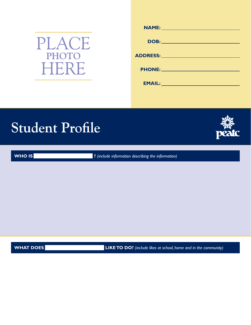

| <u>NAME: _______________________</u>                                                                                                                                                                                           |
|--------------------------------------------------------------------------------------------------------------------------------------------------------------------------------------------------------------------------------|
|                                                                                                                                                                                                                                |
|                                                                                                                                                                                                                                |
|                                                                                                                                                                                                                                |
| ADDRESS: Andrew Management of the Second Second Second Second Second Second Second Second Second Second Second Second Second Second Second Second Second Second Second Second Second Second Second Second Second Second Second |
|                                                                                                                                                                                                                                |
| <b>PHONE: 2008 2008 2008 2009 2008 2008 2009 2008 2009 2008 2009 2008 2009 2008 2009 2008 2009 2008 2009 2008 20</b>                                                                                                           |
|                                                                                                                                                                                                                                |
| <b>EMAIL:</b> Note: 2004                                                                                                                                                                                                       |
|                                                                                                                                                                                                                                |

# **Student Profle**



**WHO IS ?** *(include information describing the information)* 

**WHAT DOES LIKE TO DO?** (include likes at school, home and in the community)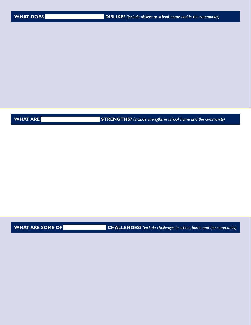**WHAT ARE STRENGTHS?** *(include strengths in school, home and the community)* **STRENGTHS**? *(include strengths in school, home and the community)* 

**WHAT ARE SOME OF CHALLENGES?** (include challenges in school, home and the community)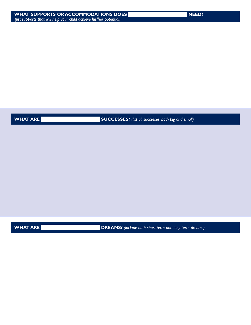**WHAT ARE SUCCESSES?** (list all successes, both big and small)

**WHAT ARE CONSERVERGENT ARE DREAMS?** (include both short-term and long-term dreams)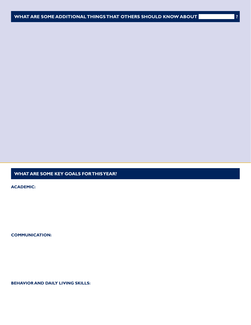## **WHAT ARE SOME KEY GOALS FOR THIS YEAR?**

**ACADEMIC:** 

**COMMUNICATION:** 

**BEHAVIOR AND DAILY LIVING SKILLS:**